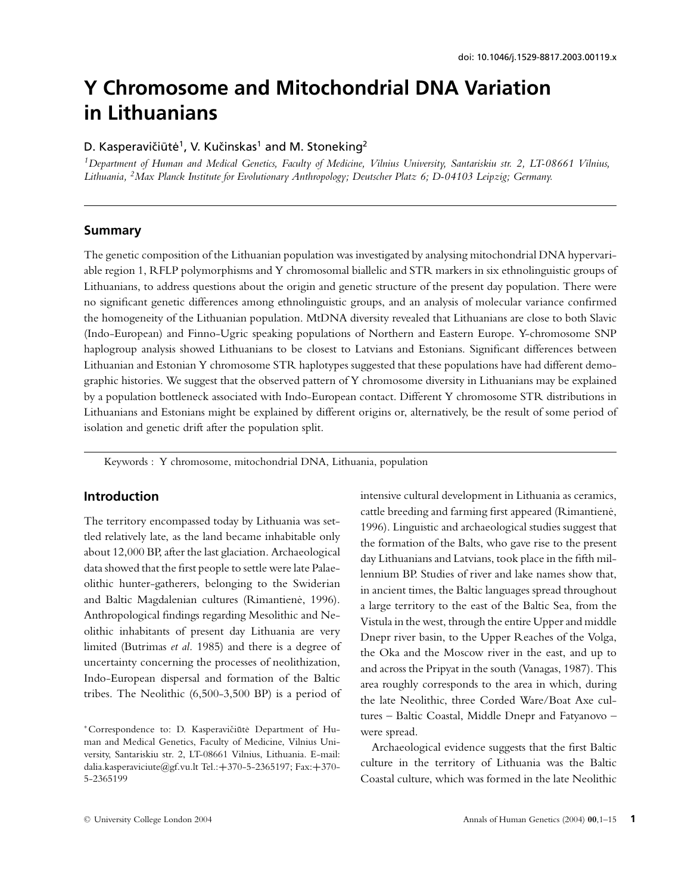# **Y Chromosome and Mitochondrial DNA Variation in Lithuanians**

## D. Kasperavičiūtė<sup>1</sup>, V. Kučinskas<sup>1</sup> and M. Stoneking<sup>2</sup>

*1Department of Human and Medical Genetics, Faculty of Medicine, Vilnius University, Santariskiu str. 2, LT-08661 Vilnius, Lithuania, 2Max Planck Institute for Evolutionary Anthropology; Deutscher Platz 6; D-04103 Leipzig; Germany.*

## **Summary**

The genetic composition of the Lithuanian population was investigated by analysing mitochondrial DNA hypervariable region 1, RFLP polymorphisms and Y chromosomal biallelic and STR markers in six ethnolinguistic groups of Lithuanians, to address questions about the origin and genetic structure of the present day population. There were no significant genetic differences among ethnolinguistic groups, and an analysis of molecular variance confirmed the homogeneity of the Lithuanian population. MtDNA diversity revealed that Lithuanians are close to both Slavic (Indo-European) and Finno-Ugric speaking populations of Northern and Eastern Europe. Y-chromosome SNP haplogroup analysis showed Lithuanians to be closest to Latvians and Estonians. Significant differences between Lithuanian and Estonian Y chromosome STR haplotypes suggested that these populations have had different demographic histories. We suggest that the observed pattern of Y chromosome diversity in Lithuanians may be explained by a population bottleneck associated with Indo-European contact. Different Y chromosome STR distributions in Lithuanians and Estonians might be explained by different origins or, alternatively, be the result of some period of isolation and genetic drift after the population split.

Keywords : Y chromosome, mitochondrial DNA, Lithuania, population

## **Introduction**

The territory encompassed today by Lithuania was settled relatively late, as the land became inhabitable only about 12,000 BP, after the last glaciation. Archaeological data showed that the first people to settle were late Palaeolithic hunter-gatherers, belonging to the Swiderian and Baltic Magdalenian cultures (Rimantienė, 1996). Anthropological findings regarding Mesolithic and Neolithic inhabitants of present day Lithuania are very limited (Butrimas *et al.* 1985) and there is a degree of uncertainty concerning the processes of neolithization, Indo-European dispersal and formation of the Baltic tribes. The Neolithic (6,500-3,500 BP) is a period of intensive cultural development in Lithuania as ceramics, cattle breeding and farming first appeared (Rimantiene, 1996). Linguistic and archaeological studies suggest that the formation of the Balts, who gave rise to the present day Lithuanians and Latvians, took place in the fifth millennium BP. Studies of river and lake names show that, in ancient times, the Baltic languages spread throughout a large territory to the east of the Baltic Sea, from the Vistula in the west, through the entire Upper and middle Dnepr river basin, to the Upper Reaches of the Volga, the Oka and the Moscow river in the east, and up to and across the Pripyat in the south (Vanagas, 1987). This area roughly corresponds to the area in which, during the late Neolithic, three Corded Ware/Boat Axe cultures – Baltic Coastal, Middle Dnepr and Fatyanovo – were spread.

Archaeological evidence suggests that the first Baltic culture in the territory of Lithuania was the Baltic Coastal culture, which was formed in the late Neolithic

<sup>\*</sup>Correspondence to: D. Kasperavičiūtė Department of Human and Medical Genetics, Faculty of Medicine, Vilnius University, Santariskiu str. 2, LT-08661 Vilnius, Lithuania. E-mail: dalia.kasperaviciute@gf.vu.lt Tel.:**+**370-5-2365197; Fax:**+**370- 5-2365199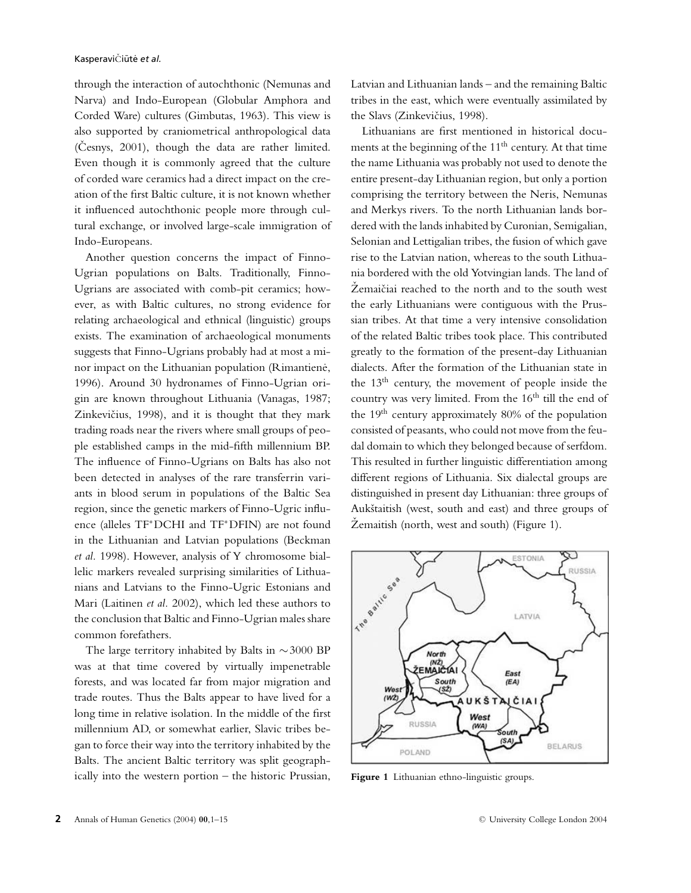through the interaction of autochthonic (Nemunas and Narva) and Indo-European (Globular Amphora and Corded Ware) cultures (Gimbutas, 1963). This view is also supported by craniometrical anthropological data  $(\check{C}$ esnys, 2001), though the data are rather limited. Even though it is commonly agreed that the culture of corded ware ceramics had a direct impact on the creation of the first Baltic culture, it is not known whether it influenced autochthonic people more through cultural exchange, or involved large-scale immigration of Indo-Europeans.

Another question concerns the impact of Finno-Ugrian populations on Balts. Traditionally, Finno-Ugrians are associated with comb-pit ceramics; however, as with Baltic cultures, no strong evidence for relating archaeological and ethnical (linguistic) groups exists. The examination of archaeological monuments suggests that Finno-Ugrians probably had at most a minor impact on the Lithuanian population (Rimantiene, 1996). Around 30 hydronames of Finno-Ugrian origin are known throughout Lithuania (Vanagas, 1987; Zinkevičius, 1998), and it is thought that they mark trading roads near the rivers where small groups of people established camps in the mid-fifth millennium BP. The influence of Finno-Ugrians on Balts has also not been detected in analyses of the rare transferrin variants in blood serum in populations of the Baltic Sea region, since the genetic markers of Finno-Ugric influence (alleles TF∗DCHI and TF∗DFIN) are not found in the Lithuanian and Latvian populations (Beckman *et al.* 1998). However, analysis of Y chromosome biallelic markers revealed surprising similarities of Lithuanians and Latvians to the Finno-Ugric Estonians and Mari (Laitinen *et al.* 2002), which led these authors to the conclusion that Baltic and Finno-Ugrian males share common forefathers.

The large territory inhabited by Balts in ∼3000 BP was at that time covered by virtually impenetrable forests, and was located far from major migration and trade routes. Thus the Balts appear to have lived for a long time in relative isolation. In the middle of the first millennium AD, or somewhat earlier, Slavic tribes began to force their way into the territory inhabited by the Balts. The ancient Baltic territory was split geographically into the western portion – the historic Prussian, Latvian and Lithuanian lands – and the remaining Baltic tribes in the east, which were eventually assimilated by the Slavs (Zinkevičius, 1998).

Lithuanians are first mentioned in historical documents at the beginning of the  $11<sup>th</sup>$  century. At that time the name Lithuania was probably not used to denote the entire present-day Lithuanian region, but only a portion comprising the territory between the Neris, Nemunas and Merkys rivers. To the north Lithuanian lands bordered with the lands inhabited by Curonian, Semigalian, Selonian and Lettigalian tribes, the fusion of which gave rise to the Latvian nation, whereas to the south Lithuania bordered with the old Yotvingian lands. The land of Zemaičiai reached to the north and to the south west the early Lithuanians were contiguous with the Prussian tribes. At that time a very intensive consolidation of the related Baltic tribes took place. This contributed greatly to the formation of the present-day Lithuanian dialects. After the formation of the Lithuanian state in the  $13<sup>th</sup>$  century, the movement of people inside the country was very limited. From the 16<sup>th</sup> till the end of the 19<sup>th</sup> century approximately 80% of the population consisted of peasants, who could not move from the feudal domain to which they belonged because of serfdom. This resulted in further linguistic differentiation among different regions of Lithuania. Six dialectal groups are distinguished in present day Lithuanian: three groups of Aukštaitish (west, south and east) and three groups of  $\check{Z}$ emaitish (north, west and south) (Figure 1).



**Figure 1** Lithuanian ethno-linguistic groups.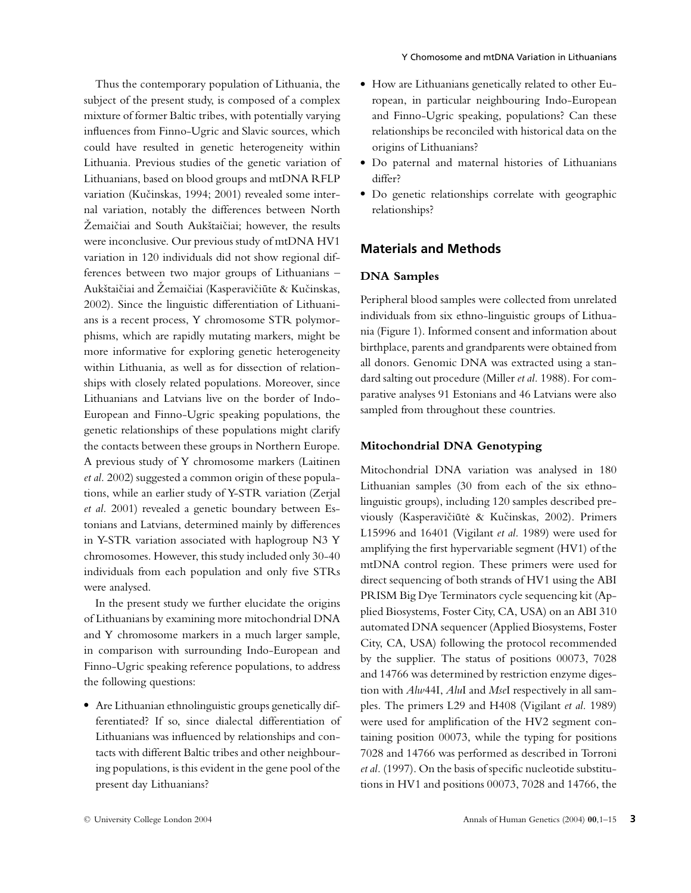Thus the contemporary population of Lithuania, the subject of the present study, is composed of a complex mixture of former Baltic tribes, with potentially varying influences from Finno-Ugric and Slavic sources, which could have resulted in genetic heterogeneity within Lithuania. Previous studies of the genetic variation of Lithuanians, based on blood groups and mtDNA RFLP variation (Kučinskas, 1994; 2001) revealed some internal variation, notably the differences between North Žemaičiai and South Aukštaičiai; however, the results were inconclusive. Our previous study of mtDNA HV1 variation in 120 individuals did not show regional differences between two major groups of Lithuanians – Aukštaičiai and Żemaičiai (Kasperavičiūte & Kučinskas, 2002). Since the linguistic differentiation of Lithuanians is a recent process, Y chromosome STR polymorphisms, which are rapidly mutating markers, might be more informative for exploring genetic heterogeneity within Lithuania, as well as for dissection of relationships with closely related populations. Moreover, since Lithuanians and Latvians live on the border of Indo-European and Finno-Ugric speaking populations, the genetic relationships of these populations might clarify the contacts between these groups in Northern Europe. A previous study of Y chromosome markers (Laitinen *et al.* 2002) suggested a common origin of these populations, while an earlier study of Y-STR variation (Zerjal *et al.* 2001) revealed a genetic boundary between Estonians and Latvians, determined mainly by differences in Y-STR variation associated with haplogroup N3 Y chromosomes. However, this study included only 30-40 individuals from each population and only five STRs were analysed.

In the present study we further elucidate the origins of Lithuanians by examining more mitochondrial DNA and Y chromosome markers in a much larger sample, in comparison with surrounding Indo-European and Finno-Ugric speaking reference populations, to address the following questions:

 Are Lithuanian ethnolinguistic groups genetically differentiated? If so, since dialectal differentiation of Lithuanians was influenced by relationships and contacts with different Baltic tribes and other neighbouring populations, is this evident in the gene pool of the present day Lithuanians?

- How are Lithuanians genetically related to other European, in particular neighbouring Indo-European and Finno-Ugric speaking, populations? Can these relationships be reconciled with historical data on the origins of Lithuanians?
- Do paternal and maternal histories of Lithuanians differ?
- Do genetic relationships correlate with geographic relationships?

## **Materials and Methods**

#### **DNA Samples**

Peripheral blood samples were collected from unrelated individuals from six ethno-linguistic groups of Lithuania (Figure 1). Informed consent and information about birthplace, parents and grandparents were obtained from all donors. Genomic DNA was extracted using a standard salting out procedure (Miller *et al.* 1988). For comparative analyses 91 Estonians and 46 Latvians were also sampled from throughout these countries.

### **Mitochondrial DNA Genotyping**

Mitochondrial DNA variation was analysed in 180 Lithuanian samples (30 from each of the six ethnolinguistic groups), including 120 samples described previously (Kasperavičiūtė & Kučinskas, 2002). Primers L15996 and 16401 (Vigilant *et al.* 1989) were used for amplifying the first hypervariable segment (HV1) of the mtDNA control region. These primers were used for direct sequencing of both strands of HV1 using the ABI PRISM Big Dye Terminators cycle sequencing kit (Applied Biosystems, Foster City, CA, USA) on an ABI 310 automated DNA sequencer (Applied Biosystems, Foster City, CA, USA) following the protocol recommended by the supplier. The status of positions 00073, 7028 and 14766 was determined by restriction enzyme digestion with *Alw*44I, *Alu*I and *Mse*I respectively in all samples. The primers L29 and H408 (Vigilant *et al.* 1989) were used for amplification of the HV2 segment containing position 00073, while the typing for positions 7028 and 14766 was performed as described in Torroni *et al.* (1997). On the basis of specific nucleotide substitutions in HV1 and positions 00073, 7028 and 14766, the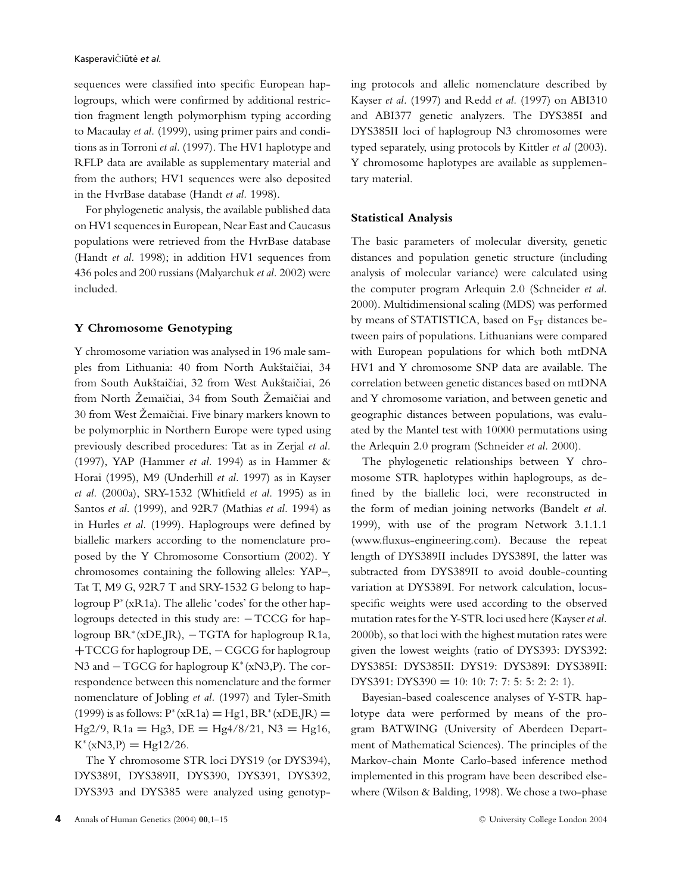#### KasperaviČiūtė et al.

sequences were classified into specific European haplogroups, which were confirmed by additional restriction fragment length polymorphism typing according to Macaulay *et al.* (1999), using primer pairs and conditions as in Torroni *et al.* (1997). The HV1 haplotype and RFLP data are available as supplementary material and from the authors; HV1 sequences were also deposited in the HvrBase database (Handt *et al.* 1998).

For phylogenetic analysis, the available published data on HV1 sequences in European, Near East and Caucasus populations were retrieved from the HvrBase database (Handt *et al.* 1998); in addition HV1 sequences from 436 poles and 200 russians (Malyarchuk *et al.* 2002) were included.

## **Y Chromosome Genotyping**

Y chromosome variation was analysed in 196 male samples from Lithuania: 40 from North Aukštaičiai, 34 from South Aukštaičiai, 32 from West Aukštaičiai, 26 from North Žemaičiai, 34 from South Žemaičiai and 30 from West  $\check{Z}$ emaičiai. Five binary markers known to be polymorphic in Northern Europe were typed using previously described procedures: Tat as in Zerjal *et al.* (1997), YAP (Hammer *et al.* 1994) as in Hammer & Horai (1995), M9 (Underhill *et al.* 1997) as in Kayser *et al.* (2000a), SRY-1532 (Whitfield *et al.* 1995) as in Santos *et al.* (1999), and 92R7 (Mathias *et al.* 1994) as in Hurles *et al.* (1999). Haplogroups were defined by biallelic markers according to the nomenclature proposed by the Y Chromosome Consortium (2002). Y chromosomes containing the following alleles: YAP–, Tat T, M9 G, 92R7 T and SRY-1532 G belong to haplogroup P<sup>∗</sup> (xR1a). The allelic 'codes' for the other haplogroups detected in this study are: -TCCG for haplogroup BR<sup>\*</sup>(xDE,JR), −TGTA for haplogroup R1a, **+**TCCG for haplogroup DE, −CGCG for haplogroup N3 and −TGCG for haplogroup K<sup>\*</sup>(xN3,P). The correspondence between this nomenclature and the former nomenclature of Jobling *et al.* (1997) and Tyler-Smith  $(1999)$  is as follows:  $P^*(xR1a) = Hg1, BR^*(xDE, JR) =$  $Hg2/9$ , R<sub>1a</sub> = Hg<sub>3</sub>, DE = Hg<sub>4</sub>/8/21, N<sub>3</sub> = Hg<sub>16</sub>,  $K^*(xN3,P) = Hg12/26.$ 

The Y chromosome STR loci DYS19 (or DYS394), DYS389I, DYS389II, DYS390, DYS391, DYS392, DYS393 and DYS385 were analyzed using genotyping protocols and allelic nomenclature described by Kayser *et al.* (1997) and Redd *et al.* (1997) on ABI310 and ABI377 genetic analyzers. The DYS385I and DYS385II loci of haplogroup N3 chromosomes were typed separately, using protocols by Kittler *et al* (2003). Y chromosome haplotypes are available as supplementary material.

### **Statistical Analysis**

The basic parameters of molecular diversity, genetic distances and population genetic structure (including analysis of molecular variance) were calculated using the computer program Arlequin 2.0 (Schneider *et al.* 2000). Multidimensional scaling (MDS) was performed by means of STATISTICA, based on  $F_{ST}$  distances between pairs of populations. Lithuanians were compared with European populations for which both mtDNA HV1 and Y chromosome SNP data are available. The correlation between genetic distances based on mtDNA and Y chromosome variation, and between genetic and geographic distances between populations, was evaluated by the Mantel test with 10000 permutations using the Arlequin 2.0 program (Schneider *et al.* 2000).

The phylogenetic relationships between Y chromosome STR haplotypes within haplogroups, as defined by the biallelic loci, were reconstructed in the form of median joining networks (Bandelt *et al.* 1999), with use of the program Network 3.1.1.1 (www.fluxus-engineering.com). Because the repeat length of DYS389II includes DYS389I, the latter was subtracted from DYS389II to avoid double-counting variation at DYS389I. For network calculation, locusspecific weights were used according to the observed mutation rates for the Y-STR loci used here (Kayser *et al.* 2000b), so that loci with the highest mutation rates were given the lowest weights (ratio of DYS393: DYS392: DYS385I: DYS385II: DYS19: DYS389I: DYS389II: DYS391: DYS390 **=** 10: 10: 7: 7: 5: 5: 2: 2: 1).

Bayesian-based coalescence analyses of Y-STR haplotype data were performed by means of the program BATWING (University of Aberdeen Department of Mathematical Sciences). The principles of the Markov-chain Monte Carlo-based inference method implemented in this program have been described elsewhere (Wilson & Balding, 1998). We chose a two-phase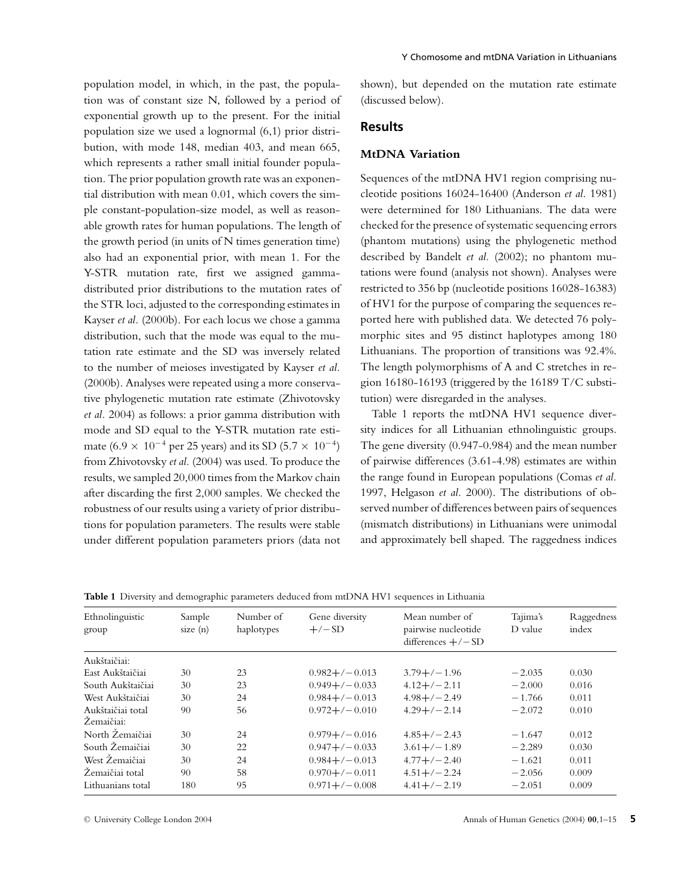population model, in which, in the past, the population was of constant size N, followed by a period of exponential growth up to the present. For the initial population size we used a lognormal (6,1) prior distribution, with mode 148, median 403, and mean 665, which represents a rather small initial founder population. The prior population growth rate was an exponential distribution with mean 0.01, which covers the simple constant-population-size model, as well as reasonable growth rates for human populations. The length of the growth period (in units of N times generation time) also had an exponential prior, with mean 1. For the Y-STR mutation rate, first we assigned gammadistributed prior distributions to the mutation rates of the STR loci, adjusted to the corresponding estimates in Kayser *et al.* (2000b). For each locus we chose a gamma distribution, such that the mode was equal to the mutation rate estimate and the SD was inversely related to the number of meioses investigated by Kayser *et al.* (2000b). Analyses were repeated using a more conservative phylogenetic mutation rate estimate (Zhivotovsky *et al.* 2004) as follows: a prior gamma distribution with mode and SD equal to the Y-STR mutation rate estimate (6.9  $\times$  10<sup>-4</sup> per 25 years) and its SD (5.7  $\times$  10<sup>-4</sup>) from Zhivotovsky *et al.* (2004) was used. To produce the results, we sampled 20,000 times from the Markov chain after discarding the first 2,000 samples. We checked the robustness of our results using a variety of prior distributions for population parameters. The results were stable under different population parameters priors (data not

shown), but depended on the mutation rate estimate (discussed below).

## **Results**

### **MtDNA Variation**

Sequences of the mtDNA HV1 region comprising nucleotide positions 16024-16400 (Anderson *et al.* 1981) were determined for 180 Lithuanians. The data were checked for the presence of systematic sequencing errors (phantom mutations) using the phylogenetic method described by Bandelt *et al.* (2002); no phantom mutations were found (analysis not shown). Analyses were restricted to 356 bp (nucleotide positions 16028-16383) of HV1 for the purpose of comparing the sequences reported here with published data. We detected 76 polymorphic sites and 95 distinct haplotypes among 180 Lithuanians. The proportion of transitions was 92.4%. The length polymorphisms of A and C stretches in region 16180-16193 (triggered by the 16189 T/C substitution) were disregarded in the analyses.

Table 1 reports the mtDNA HV1 sequence diversity indices for all Lithuanian ethnolinguistic groups. The gene diversity (0.947-0.984) and the mean number of pairwise differences (3.61-4.98) estimates are within the range found in European populations (Comas *et al.* 1997, Helgason *et al.* 2000). The distributions of observed number of differences between pairs of sequences (mismatch distributions) in Lithuanians were unimodal and approximately bell shaped. The raggedness indices

**Table 1** Diversity and demographic parameters deduced from mtDNA HV1 sequences in Lithuania

| Ethnolinguistic<br>group        | Sample<br>size $(n)$ | Number of<br>haplotypes | Gene diversity<br>$+/-SD$ | Mean number of<br>pairwise nucleotide<br>differences $+/-SD$ | Tajima's<br>D value | Raggedness<br>index |
|---------------------------------|----------------------|-------------------------|---------------------------|--------------------------------------------------------------|---------------------|---------------------|
| Aukštaičiai:                    |                      |                         |                           |                                                              |                     |                     |
| East Aukštaičiai                | 30                   | 23                      | $0.982 + (-0.013)$        | $3.79+/-1.96$                                                | $-2.035$            | 0.030               |
| South Aukštaičiai               | 30                   | 23                      | $0.949 + (-0.033)$        | $4.12+/-2.11$                                                | $-2.000$            | 0.016               |
| West Aukštaičiai                | 30                   | 24                      | $0.984 + (-0.013)$        | $4.98 + / - 2.49$                                            | $-1.766$            | 0.011               |
| Aukštaičiai total<br>Zemaičiai: | 90                   | 56                      | $0.972 + (-0.010)$        | $4.29+/-2.14$                                                | $-2.072$            | 0.010               |
| North Žemaičiai                 | 30                   | 24                      | $0.979 + (-0.016)$        | $4.85 + / - 2.43$                                            | $-1.647$            | 0.012               |
| South Žemaičiai                 | 30                   | 22                      | $0.947 + (-0.033)$        | $3.61 + / - 1.89$                                            | $-2.289$            | 0.030               |
| West Žemaičiai                  | 30                   | 24                      | $0.984+/-0.013$           | $4.77 + / - 2.40$                                            | $-1.621$            | 0.011               |
| Žemaičiai total                 | 90                   | 58                      | $0.970 + (-0.011)$        | $4.51 + / - 2.24$                                            | $-2.056$            | 0.009               |
| Lithuanians total               | 180                  | 95                      | $0.971 + (-0.008$         | $4.41 + / - 2.19$                                            | $-2.051$            | 0.009               |

© University College London 2004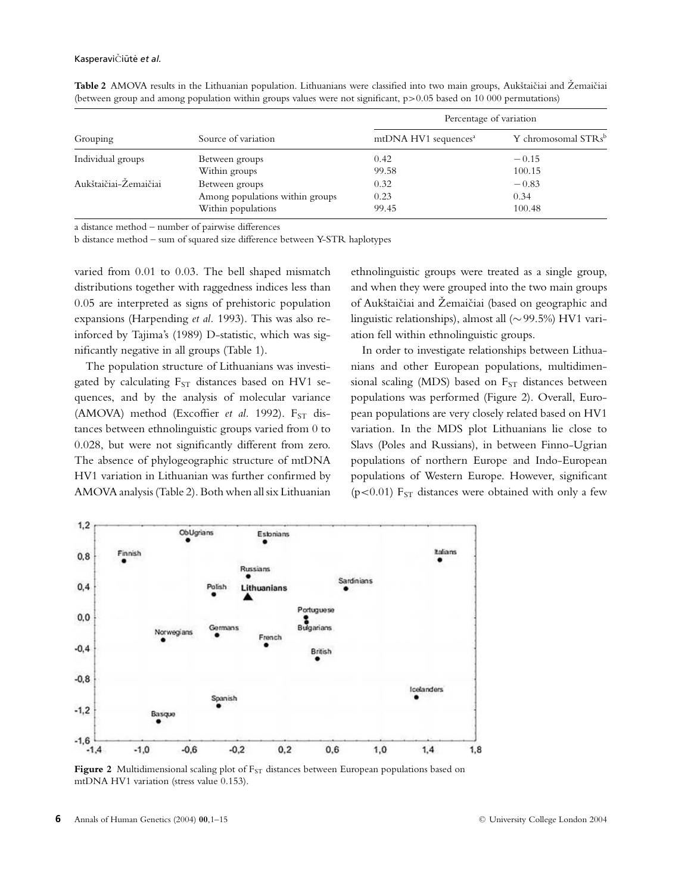|                       |                                 | Percentage of variation          |                                 |  |  |
|-----------------------|---------------------------------|----------------------------------|---------------------------------|--|--|
| Grouping              | Source of variation             | mtDNA HV1 sequences <sup>a</sup> | Y chromosomal STRs <sup>b</sup> |  |  |
| Individual groups     | Between groups                  | 0.42                             | $-0.15$                         |  |  |
|                       | Within groups                   | 99.58                            | 100.15                          |  |  |
| Aukštaičiai-Žemaičiai | Between groups                  | 0.32                             | $-0.83$                         |  |  |
|                       | Among populations within groups | 0.23                             | 0.34                            |  |  |
|                       | Within populations              | 99.45                            | 100.48                          |  |  |

Table 2 AMOVA results in the Lithuanian population. Lithuanians were classified into two main groups, Aukštaičiai and Žemaičiai (between group and among population within groups values were not significant,  $p > 0.05$  based on 10 000 permutations)

a distance method – number of pairwise differences

b distance method – sum of squared size difference between Y-STR haplotypes

varied from 0.01 to 0.03. The bell shaped mismatch distributions together with raggedness indices less than 0.05 are interpreted as signs of prehistoric population expansions (Harpending *et al.* 1993). This was also reinforced by Tajima's (1989) D-statistic, which was significantly negative in all groups (Table 1).

The population structure of Lithuanians was investigated by calculating  $F_{ST}$  distances based on HV1 sequences, and by the analysis of molecular variance (AMOVA) method (Excoffier et al. 1992). F<sub>ST</sub> distances between ethnolinguistic groups varied from 0 to 0.028, but were not significantly different from zero. The absence of phylogeographic structure of mtDNA HV1 variation in Lithuanian was further confirmed by AMOVA analysis (Table 2). Both when all six Lithuanian

ethnolinguistic groups were treated as a single group, and when they were grouped into the two main groups of Aukštaičiai and Žemaičiai (based on geographic and linguistic relationships), almost all (∼99.5%) HV1 variation fell within ethnolinguistic groups.

In order to investigate relationships between Lithuanians and other European populations, multidimensional scaling (MDS) based on  $F_{ST}$  distances between populations was performed (Figure 2). Overall, European populations are very closely related based on HV1 variation. In the MDS plot Lithuanians lie close to Slavs (Poles and Russians), in between Finno-Ugrian populations of northern Europe and Indo-European populations of Western Europe. However, significant ( $p$ <0.01)  $F_{ST}$  distances were obtained with only a few



Figure 2 Multidimensional scaling plot of F<sub>ST</sub> distances between European populations based on mtDNA HV1 variation (stress value 0.153).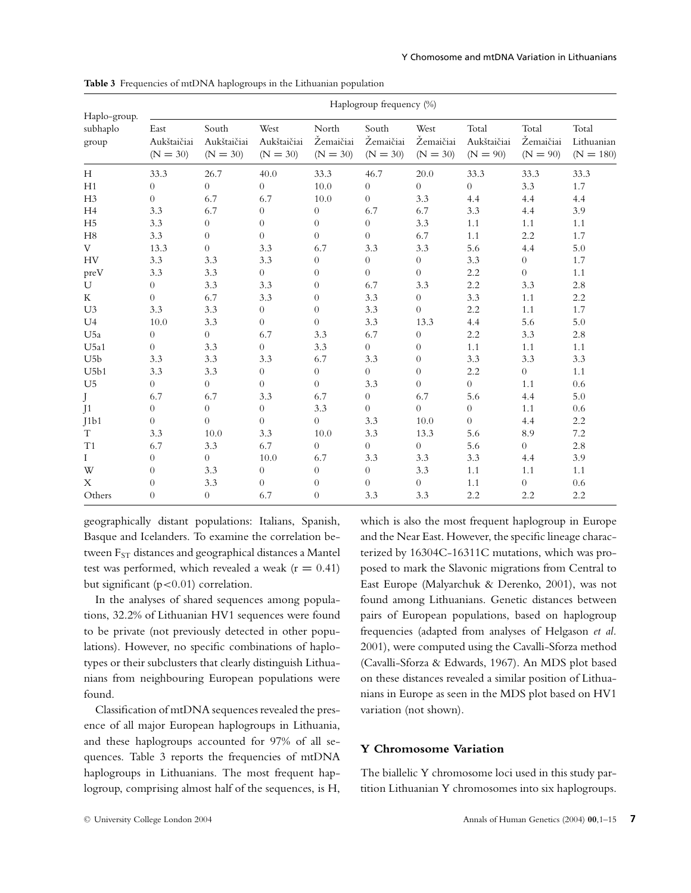| Haplo-group.      | Haplogroup frequency (%)          |                                    |                                   |                                  |                                  |                                 |                                    |                                  |                                    |
|-------------------|-----------------------------------|------------------------------------|-----------------------------------|----------------------------------|----------------------------------|---------------------------------|------------------------------------|----------------------------------|------------------------------------|
| subhaplo<br>group | East<br>Aukštaičiai<br>$(N = 30)$ | South<br>Aukštaičiai<br>$(N = 30)$ | West<br>Aukštaičiai<br>$(N = 30)$ | North<br>Žemaičiai<br>$(N = 30)$ | South<br>Žemaičiai<br>$(N = 30)$ | West<br>Žemaičiai<br>$(N = 30)$ | Total<br>Aukštaičiai<br>$(N = 90)$ | Total<br>Žemaičiai<br>$(N = 90)$ | Total<br>Lithuanian<br>$(N = 180)$ |
| H                 | 33.3                              | 26.7                               | 40.0                              | 33.3                             | 46.7                             | 20.0                            | 33.3                               | 33.3                             | 33.3                               |
| H1                | $\boldsymbol{0}$                  | $\overline{0}$                     | $\overline{0}$                    | 10.0                             | $\boldsymbol{0}$                 | $\overline{0}$                  | $\overline{0}$                     | 3.3                              | 1.7                                |
| H <sub>3</sub>    | $\Omega$                          | 6.7                                | 6.7                               | 10.0                             | $\Omega$                         | 3.3                             | 4.4                                | 4.4                              | 4.4                                |
| H <sub>4</sub>    | 3.3                               | 6.7                                | $\overline{0}$                    | $\theta$                         | 6.7                              | 6.7                             | 3.3                                | 4.4                              | 3.9                                |
| H <sub>5</sub>    | 3.3                               | $\overline{0}$                     | $\overline{0}$                    | $\overline{0}$                   | $\theta$                         | 3.3                             | 1.1                                | 1.1                              | 1.1                                |
| $\rm H8$          | 3.3                               | $\overline{0}$                     | $\overline{0}$                    | $\theta$                         | $\overline{0}$                   | 6.7                             | 1.1                                | 2.2                              | 1.7                                |
| V                 | 13.3                              | $\overline{0}$                     | 3.3                               | 6.7                              | 3.3                              | 3.3                             | 5.6                                | 4.4                              | 5.0                                |
| HV                | 3.3                               | 3.3                                | 3.3                               | $\theta$                         | $\boldsymbol{0}$                 | $\overline{0}$                  | 3.3                                | $\overline{0}$                   | 1.7                                |
| preV              | 3.3                               | 3.3                                | $\overline{0}$                    | $\overline{0}$                   | $\theta$                         | $\overline{0}$                  | 2.2                                | $\overline{0}$                   | 1.1                                |
| U                 | $\overline{0}$                    | 3.3                                | 3.3                               | $\overline{0}$                   | 6.7                              | 3.3                             | 2.2                                | 3.3                              | 2.8                                |
| K                 | $\Omega$                          | 6.7                                | 3.3                               | $\theta$                         | 3.3                              | $\overline{0}$                  | 3.3                                | 1.1                              | 2.2                                |
| U <sub>3</sub>    | 3.3                               | 3.3                                | $\overline{0}$                    | $\overline{0}$                   | 3.3                              | $\Omega$                        | 2.2                                | 1.1                              | 1.7                                |
| U <sub>4</sub>    | 10.0                              | 3.3                                | $\overline{0}$                    | $\overline{0}$                   | 3.3                              | 13.3                            | 4.4                                | 5.6                              | 5.0                                |
| U <sub>5</sub> a  | $\overline{0}$                    | $\overline{0}$                     | 6.7                               | 3.3                              | 6.7                              | $\overline{0}$                  | 2.2                                | 3.3                              | 2.8                                |
| U5a1              | $\overline{0}$                    | 3.3                                | $\overline{0}$                    | 3.3                              | $\boldsymbol{0}$                 | $\boldsymbol{0}$                | 1.1                                | 1.1                              | 1.1                                |
| U <sub>5</sub> b  | 3.3                               | 3.3                                | 3.3                               | 6.7                              | 3.3                              | $\overline{0}$                  | 3.3                                | 3.3                              | 3.3                                |
| U5b1              | 3.3                               | 3.3                                | $\overline{0}$                    | $\theta$                         | $\overline{0}$                   | $\overline{0}$                  | 2.2                                | $\overline{0}$                   | 1.1                                |
| U <sub>5</sub>    | $\overline{0}$                    | $\overline{0}$                     | $\overline{0}$                    | $\theta$                         | 3.3                              | $\overline{0}$                  | $\overline{0}$                     | 1.1                              | 0.6                                |
| J                 | 6.7                               | 6.7                                | 3.3                               | 6.7                              | $\overline{0}$                   | 6.7                             | 5.6                                | 4.4                              | 5.0                                |
| J <sub>1</sub>    | $\overline{0}$                    | $\overline{0}$                     | $\overline{0}$                    | 3.3                              | $\overline{0}$                   | $\Omega$                        | $\boldsymbol{0}$                   | 1.1                              | 0.6                                |
| J1b1              | $\overline{0}$                    | $\Omega$                           | $\theta$                          | $\theta$                         | 3.3                              | 10.0                            | $\boldsymbol{0}$                   | 4.4                              | 2.2                                |
| T                 | 3.3                               | 10.0                               | 3.3                               | 10.0                             | 3.3                              | 13.3                            | 5.6                                | 8.9                              | 7.2                                |
| T1                | 6.7                               | 3.3                                | 6.7                               | $\theta$                         | $\theta$                         | $\overline{0}$                  | 5.6                                | $\overline{0}$                   | 2.8                                |
| Ι                 | $\boldsymbol{0}$                  | $\overline{0}$                     | 10.0                              | 6.7                              | 3.3                              | 3.3                             | 3.3                                | 4.4                              | 3.9                                |
| W                 | $\boldsymbol{0}$                  | 3.3                                | $\boldsymbol{0}$                  | $\theta$                         | $\boldsymbol{0}$                 | 3.3                             | 1.1                                | 1.1                              | 1.1                                |
| X                 | $\boldsymbol{0}$                  | 3.3                                | $\overline{0}$                    | $\overline{0}$                   | $\theta$                         | $\overline{0}$                  | 1.1                                | $\overline{0}$                   | 0.6                                |
| Others            | $\overline{0}$                    | $\overline{0}$                     | 6.7                               | $\overline{0}$                   | 3.3                              | 3.3                             | 2.2                                | 2.2                              | 2.2                                |

**Table 3** Frequencies of mtDNA haplogroups in the Lithuanian population

geographically distant populations: Italians, Spanish, Basque and Icelanders. To examine the correlation between F<sub>ST</sub> distances and geographical distances a Mantel test was performed, which revealed a weak  $(r = 0.41)$ but significant  $(p<0.01)$  correlation.

In the analyses of shared sequences among populations, 32.2% of Lithuanian HV1 sequences were found to be private (not previously detected in other populations). However, no specific combinations of haplotypes or their subclusters that clearly distinguish Lithuanians from neighbouring European populations were found.

Classification of mtDNA sequences revealed the presence of all major European haplogroups in Lithuania, and these haplogroups accounted for 97% of all sequences. Table 3 reports the frequencies of mtDNA haplogroups in Lithuanians. The most frequent haplogroup, comprising almost half of the sequences, is H, which is also the most frequent haplogroup in Europe and the Near East. However, the specific lineage characterized by 16304C-16311C mutations, which was proposed to mark the Slavonic migrations from Central to East Europe (Malyarchuk & Derenko, 2001), was not found among Lithuanians. Genetic distances between pairs of European populations, based on haplogroup frequencies (adapted from analyses of Helgason *et al.* 2001), were computed using the Cavalli-Sforza method (Cavalli-Sforza & Edwards, 1967). An MDS plot based on these distances revealed a similar position of Lithuanians in Europe as seen in the MDS plot based on HV1 variation (not shown).

#### **Y Chromosome Variation**

The biallelic Y chromosome loci used in this study partition Lithuanian Y chromosomes into six haplogroups.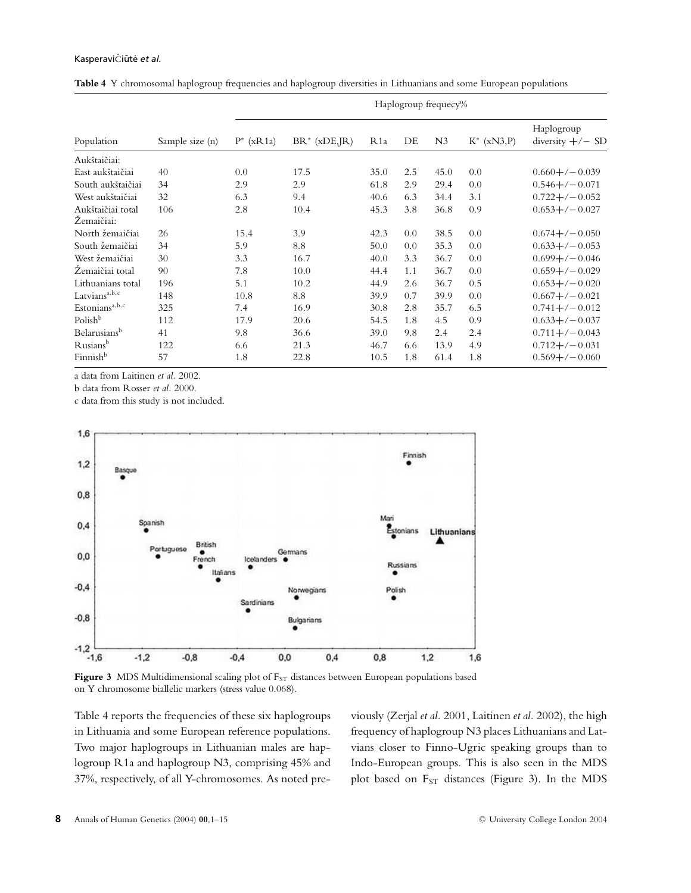|                                 |                 | Haplogroup frequecy% |                         |                  |     |                |               |                                  |
|---------------------------------|-----------------|----------------------|-------------------------|------------------|-----|----------------|---------------|----------------------------------|
| Population                      | Sample size (n) | $P^*$ (xR1a)         | $BR^*$ ( $xDE$ , $IR$ ) | R <sub>1</sub> a | DE  | N <sub>3</sub> | $K^*$ (xN3,P) | Haplogroup<br>diversity $+/-$ SD |
| Aukštaičiai:                    |                 |                      |                         |                  |     |                |               |                                  |
| East aukštaičiai                | 40              | 0.0                  | 17.5                    | 35.0             | 2.5 | 45.0           | 0.0           | $0.660 + / - 0.039$              |
| South aukštaičiai               | 34              | 2.9                  | 2.9                     | 61.8             | 2.9 | 29.4           | 0.0           | $0.546 + / - 0.071$              |
| West aukštaičiai                | 32              | 6.3                  | 9.4                     | 40.6             | 6.3 | 34.4           | 3.1           | $0.722+/-0.052$                  |
| Aukštaičiai total<br>Žemaičiai: | 106             | 2.8                  | 10.4                    | 45.3             | 3.8 | 36.8           | 0.9           | $0.653+/-0.027$                  |
| North žemaičiai                 | 26              | 15.4                 | 3.9                     | 42.3             | 0.0 | 38.5           | 0.0           | $0.674 + / - 0.050$              |
| South žemaičiai                 | 34              | 5.9                  | 8.8                     | 50.0             | 0.0 | 35.3           | 0.0           | $0.633 + (-0.053)$               |
| West žemaičiai                  | 30              | 3.3                  | 16.7                    | 40.0             | 3.3 | 36.7           | 0.0           | $0.699 + / - 0.046$              |
| Žemaičiai total                 | 90              | 7.8                  | 10.0                    | 44.4             | 1.1 | 36.7           | 0.0           | $0.659 + / - 0.029$              |
| Lithuanians total               | 196             | 5.1                  | 10.2                    | 44.9             | 2.6 | 36.7           | 0.5           | $0.653+/-0.020$                  |
| Latvians <sup>a,b,c</sup>       | 148             | 10.8                 | 8.8                     | 39.9             | 0.7 | 39.9           | 0.0           | $0.667 + / - 0.021$              |
| Estonians <sup>a,b,c</sup>      | 325             | 7.4                  | 16.9                    | 30.8             | 2.8 | 35.7           | 6.5           | $0.741 + (-0.012)$               |
| Polish <sup>b</sup>             | 112             | 17.9                 | 20.6                    | 54.5             | 1.8 | 4.5            | 0.9           | $0.633+/-0.037$                  |
| Belarusiansb                    | 41              | 9.8                  | 36.6                    | 39.0             | 9.8 | 2.4            | 2.4           | $0.711 + (-0.043)$               |
| Rusiansb                        | 122             | 6.6                  | 21.3                    | 46.7             | 6.6 | 13.9           | 4.9           | $0.712 + (-0.031)$               |
| Finnish <sup>b</sup>            | 57              | 1.8                  | 22.8                    | 10.5             | 1.8 | 61.4           | 1.8           | $0.569 + / - 0.060$              |

**Table 4** Y chromosomal haplogroup frequencies and haplogroup diversities in Lithuanians and some European populations

a data from Laitinen *et al.* 2002.

b data from Rosser *et al.* 2000.

c data from this study is not included.



Figure 3 MDS Multidimensional scaling plot of F<sub>ST</sub> distances between European populations based on Y chromosome biallelic markers (stress value 0.068).

Table 4 reports the frequencies of these six haplogroups in Lithuania and some European reference populations. Two major haplogroups in Lithuanian males are haplogroup R1a and haplogroup N3, comprising 45% and 37%, respectively, of all Y-chromosomes. As noted previously (Zerjal *et al.* 2001, Laitinen *et al.* 2002), the high frequency of haplogroup N3 places Lithuanians and Latvians closer to Finno-Ugric speaking groups than to Indo-European groups. This is also seen in the MDS plot based on F<sub>ST</sub> distances (Figure 3). In the MDS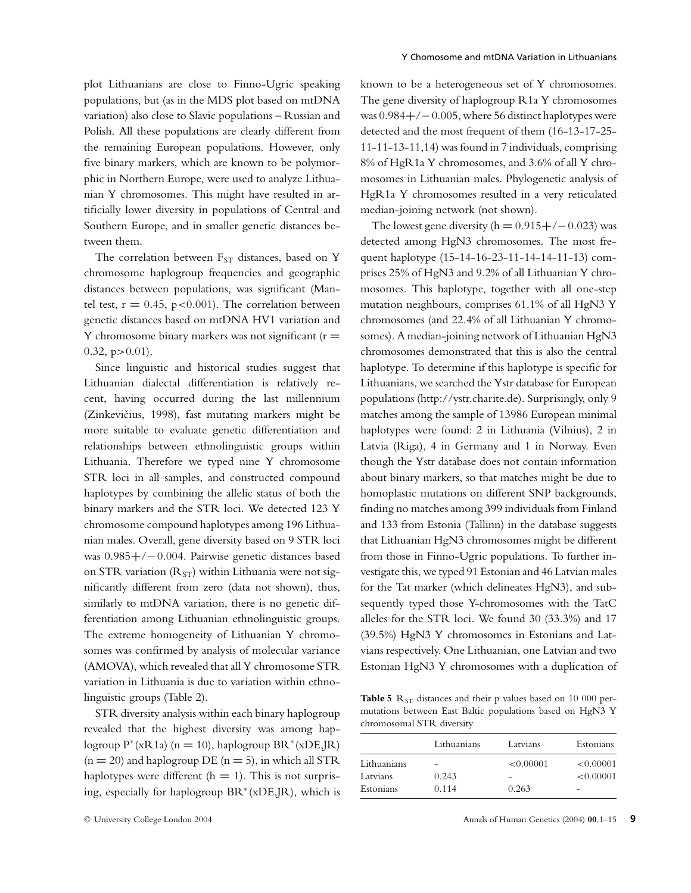plot Lithuanians are close to Finno-Ugric speaking populations, but (as in the MDS plot based on mtDNA variation) also close to Slavic populations – Russian and Polish. All these populations are clearly different from the remaining European populations. However, only five binary markers, which are known to be polymorphic in Northern Europe, were used to analyze Lithuanian Y chromosomes. This might have resulted in artificially lower diversity in populations of Central and Southern Europe, and in smaller genetic distances between them.

The correlation between  $F_{ST}$  distances, based on Y chromosome haplogroup frequencies and geographic distances between populations, was significant (Mantel test,  $r = 0.45$ ,  $p < 0.001$ ). The correlation between genetic distances based on mtDNA HV1 variation and Y chromosome binary markers was not significant (r **=**  $0.32$ ,  $p > 0.01$ ).

Since linguistic and historical studies suggest that Lithuanian dialectal differentiation is relatively recent, having occurred during the last millennium (Zinkevičius, 1998), fast mutating markers might be more suitable to evaluate genetic differentiation and relationships between ethnolinguistic groups within Lithuania. Therefore we typed nine Y chromosome STR loci in all samples, and constructed compound haplotypes by combining the allelic status of both the binary markers and the STR loci. We detected 123 Y chromosome compound haplotypes among 196 Lithuanian males. Overall, gene diversity based on 9 STR loci was 0.985**+**/−0.004. Pairwise genetic distances based on STR variation ( $R_{ST}$ ) within Lithuania were not significantly different from zero (data not shown), thus, similarly to mtDNA variation, there is no genetic differentiation among Lithuanian ethnolinguistic groups. The extreme homogeneity of Lithuanian Y chromosomes was confirmed by analysis of molecular variance (AMOVA), which revealed that all Y chromosome STR variation in Lithuania is due to variation within ethnolinguistic groups (Table 2).

STR diversity analysis within each binary haplogroup revealed that the highest diversity was among haplogroup P<sup>∗</sup> (xR1a) (n **=** 10), haplogroup BR<sup>∗</sup> (xDE,JR)  $(n = 20)$  and haplogroup DE  $(n = 5)$ , in which all STR haplotypes were different  $(h = 1)$ . This is not surprising, especially for haplogroup BR<sup>∗</sup> (xDE,JR), which is known to be a heterogeneous set of Y chromosomes. The gene diversity of haplogroup R1a Y chromosomes was 0.984**+**/−0.005, where 56 distinct haplotypes were detected and the most frequent of them (16-13-17-25- 11-11-13-11,14) was found in 7 individuals, comprising 8% of HgR1a Y chromosomes, and 3.6% of all Y chromosomes in Lithuanian males. Phylogenetic analysis of HgR1a Y chromosomes resulted in a very reticulated median-joining network (not shown).

The lowest gene diversity (h =  $0.915 + / -0.023$ ) was detected among HgN3 chromosomes. The most frequent haplotype (15-14-16-23-11-14-14-11-13) comprises 25% of HgN3 and 9.2% of all Lithuanian Y chromosomes. This haplotype, together with all one-step mutation neighbours, comprises 61.1% of all HgN3 Y chromosomes (and 22.4% of all Lithuanian Y chromosomes). A median-joining network of Lithuanian HgN3 chromosomes demonstrated that this is also the central haplotype. To determine if this haplotype is specific for Lithuanians, we searched the Ystr database for European populations (http://ystr.charite.de). Surprisingly, only 9 matches among the sample of 13986 European minimal haplotypes were found: 2 in Lithuania (Vilnius), 2 in Latvia (Riga), 4 in Germany and 1 in Norway. Even though the Ystr database does not contain information about binary markers, so that matches might be due to homoplastic mutations on different SNP backgrounds, finding no matches among 399 individuals from Finland and 133 from Estonia (Tallinn) in the database suggests that Lithuanian HgN3 chromosomes might be different from those in Finno-Ugric populations. To further investigate this, we typed 91 Estonian and 46 Latvian males for the Tat marker (which delineates HgN3), and subsequently typed those Y-chromosomes with the TatC alleles for the STR loci. We found 30 (33.3%) and 17 (39.5%) HgN3 Y chromosomes in Estonians and Latvians respectively. One Lithuanian, one Latvian and two Estonian HgN3 Y chromosomes with a duplication of

Table 5 R<sub>ST</sub> distances and their p values based on 10 000 permutations between East Baltic populations based on HgN3 Y chromosomal STR diversity

|             | Lithuanians | Latvians  | Estonians |
|-------------|-------------|-----------|-----------|
| Lithuanians |             | < 0.00001 | < 0.00001 |
| Latvians    | 0.243       |           | < 0.00001 |
| Estonians   | 0.114       | 0.263     |           |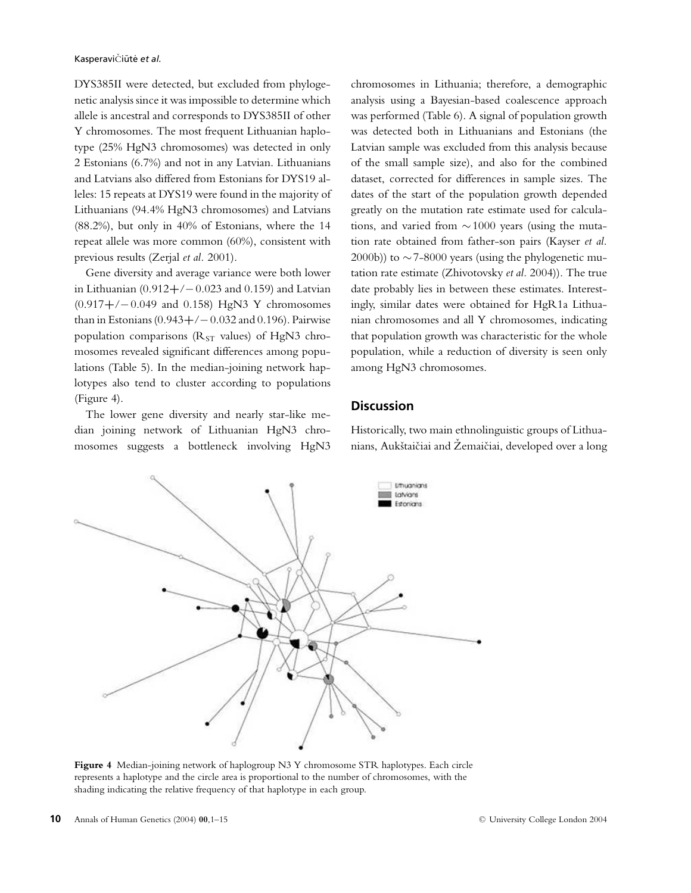DYS385II were detected, but excluded from phylogenetic analysis since it was impossible to determine which allele is ancestral and corresponds to DYS385II of other Y chromosomes. The most frequent Lithuanian haplotype (25% HgN3 chromosomes) was detected in only 2 Estonians (6.7%) and not in any Latvian. Lithuanians and Latvians also differed from Estonians for DYS19 alleles: 15 repeats at DYS19 were found in the majority of Lithuanians (94.4% HgN3 chromosomes) and Latvians (88.2%), but only in 40% of Estonians, where the 14 repeat allele was more common (60%), consistent with previous results (Zerjal *et al.* 2001).

Gene diversity and average variance were both lower in Lithuanian (0.912**+**/−0.023 and 0.159) and Latvian (0.917**+**/−0.049 and 0.158) HgN3 Y chromosomes than in Estonians (0.943**+**/−0.032 and 0.196). Pairwise population comparisons ( $R_{ST}$  values) of HgN3 chromosomes revealed significant differences among populations (Table 5). In the median-joining network haplotypes also tend to cluster according to populations (Figure 4).

The lower gene diversity and nearly star-like median joining network of Lithuanian HgN3 chromosomes suggests a bottleneck involving HgN3 chromosomes in Lithuania; therefore, a demographic analysis using a Bayesian-based coalescence approach was performed (Table 6). A signal of population growth was detected both in Lithuanians and Estonians (the Latvian sample was excluded from this analysis because of the small sample size), and also for the combined dataset, corrected for differences in sample sizes. The dates of the start of the population growth depended greatly on the mutation rate estimate used for calculations, and varied from  $\sim$  1000 years (using the mutation rate obtained from father-son pairs (Kayser *et al.* 2000b)) to  $\sim$  7-8000 years (using the phylogenetic mutation rate estimate (Zhivotovsky *et al.* 2004)). The true date probably lies in between these estimates. Interestingly, similar dates were obtained for HgR1a Lithuanian chromosomes and all Y chromosomes, indicating that population growth was characteristic for the whole population, while a reduction of diversity is seen only among HgN3 chromosomes.

## **Discussion**

Historically, two main ethnolinguistic groups of Lithuanians, Aukštaičiai and Žemaičiai, developed over a long



**Figure 4** Median-joining network of haplogroup N3 Y chromosome STR haplotypes. Each circle represents a haplotype and the circle area is proportional to the number of chromosomes, with the shading indicating the relative frequency of that haplotype in each group.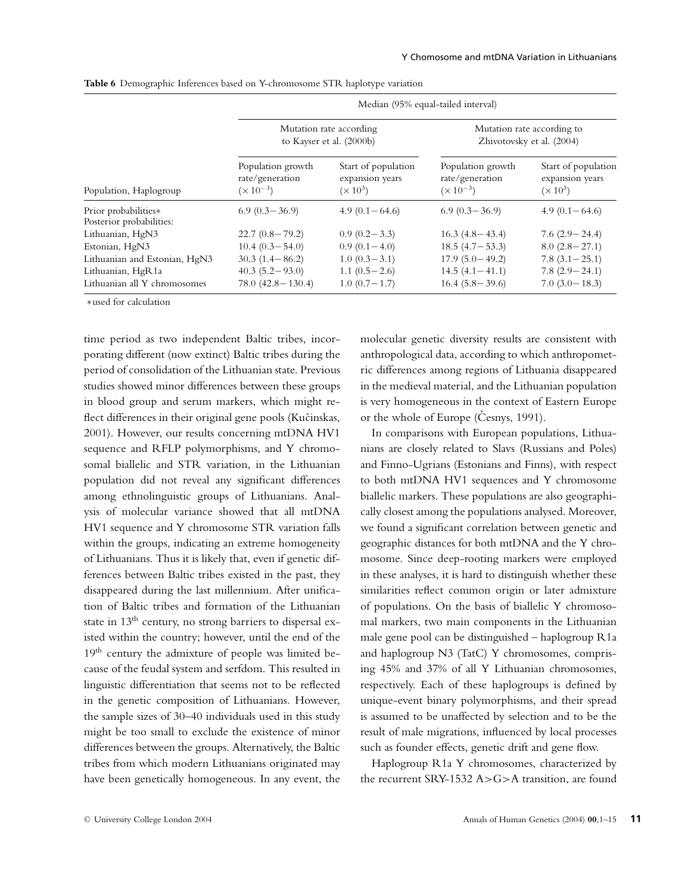|                                                  | Median (95% equal-tailed interval)                         |                                                           |                                                            |                                                           |  |  |  |  |
|--------------------------------------------------|------------------------------------------------------------|-----------------------------------------------------------|------------------------------------------------------------|-----------------------------------------------------------|--|--|--|--|
|                                                  |                                                            | Mutation rate according<br>to Kayser et al. (2000b)       | Mutation rate according to<br>Zhivotovsky et al. (2004)    |                                                           |  |  |  |  |
| Population, Haplogroup                           | Population growth<br>rate/generation<br>$(\times 10^{-3})$ | Start of population<br>expansion years<br>$(\times 10^3)$ | Population growth<br>rate/generation<br>$(\times 10^{-3})$ | Start of population<br>expansion years<br>$(\times 10^3)$ |  |  |  |  |
| Prior probabilities*<br>Posterior probabilities: | $6.9(0.3-36.9)$                                            | 4.9 $(0.1 - 64.6)$                                        | $6.9(0.3-36.9)$                                            | 4.9 $(0.1 - 64.6)$                                        |  |  |  |  |
| Lithuanian, HgN3                                 | $22.7(0.8-79.2)$                                           | $0.9(0.2-3.3)$                                            | $16.3(4.8-43.4)$                                           | $7.6(2.9-24.4)$                                           |  |  |  |  |
| Estonian, HgN3                                   | $10.4(0.3-54.0)$                                           | $0.9(0.1-4.0)$                                            | $18.5(4.7-53.3)$                                           | $8.0(2.8-27.1)$                                           |  |  |  |  |
| Lithuanian and Estonian, HgN3                    | $30.3(1.4-86.2)$                                           | $1.0(0.3-3.1)$                                            | $17.9(5.0-49.2)$                                           | $7.8(3.1-25.1)$                                           |  |  |  |  |
| Lithuanian, HgR1a                                | $40.3(5.2-93.0)$                                           | $1.1(0.5-2.6)$                                            | $14.5(4.1 - 41.1)$                                         | $7.8(2.9-24.1)$                                           |  |  |  |  |
| Lithuanian all Y chromosomes                     | $78.0(42.8 - 130.4)$                                       | $1.0(0.7-1.7)$                                            | $16.4(5.8-39.6)$                                           | $7.0(3.0-18.3)$                                           |  |  |  |  |

**Table 6** Demographic Inferences based on Y-chromosome STR haplotype variation

∗used for calculation

time period as two independent Baltic tribes, incorporating different (now extinct) Baltic tribes during the period of consolidation of the Lithuanian state. Previous studies showed minor differences between these groups in blood group and serum markers, which might reflect differences in their original gene pools (Kučinskas, 2001). However, our results concerning mtDNA HV1 sequence and RFLP polymorphisms, and Y chromosomal biallelic and STR variation, in the Lithuanian population did not reveal any significant differences among ethnolinguistic groups of Lithuanians. Analysis of molecular variance showed that all mtDNA HV1 sequence and Y chromosome STR variation falls within the groups, indicating an extreme homogeneity of Lithuanians. Thus it is likely that, even if genetic differences between Baltic tribes existed in the past, they disappeared during the last millennium. After unification of Baltic tribes and formation of the Lithuanian state in 13<sup>th</sup> century, no strong barriers to dispersal existed within the country; however, until the end of the 19<sup>th</sup> century the admixture of people was limited because of the feudal system and serfdom. This resulted in linguistic differentiation that seems not to be reflected in the genetic composition of Lithuanians. However, the sample sizes of 30–40 individuals used in this study might be too small to exclude the existence of minor differences between the groups. Alternatively, the Baltic tribes from which modern Lithuanians originated may have been genetically homogeneous. In any event, the molecular genetic diversity results are consistent with anthropological data, according to which anthropometric differences among regions of Lithuania disappeared in the medieval material, and the Lithuanian population is very homogeneous in the context of Eastern Europe or the whole of Europe ( $\check{C}$ esnys, 1991).

In comparisons with European populations, Lithuanians are closely related to Slavs (Russians and Poles) and Finno-Ugrians (Estonians and Finns), with respect to both mtDNA HV1 sequences and Y chromosome biallelic markers. These populations are also geographically closest among the populations analysed. Moreover, we found a significant correlation between genetic and geographic distances for both mtDNA and the Y chromosome. Since deep-rooting markers were employed in these analyses, it is hard to distinguish whether these similarities reflect common origin or later admixture of populations. On the basis of biallelic Y chromosomal markers, two main components in the Lithuanian male gene pool can be distinguished – haplogroup R1a and haplogroup N3 (TatC) Y chromosomes, comprising 45% and 37% of all Y Lithuanian chromosomes, respectively. Each of these haplogroups is defined by unique-event binary polymorphisms, and their spread is assumed to be unaffected by selection and to be the result of male migrations, influenced by local processes such as founder effects, genetic drift and gene flow.

Haplogroup R1a Y chromosomes, characterized by the recurrent SRY-1532 A>G>A transition, are found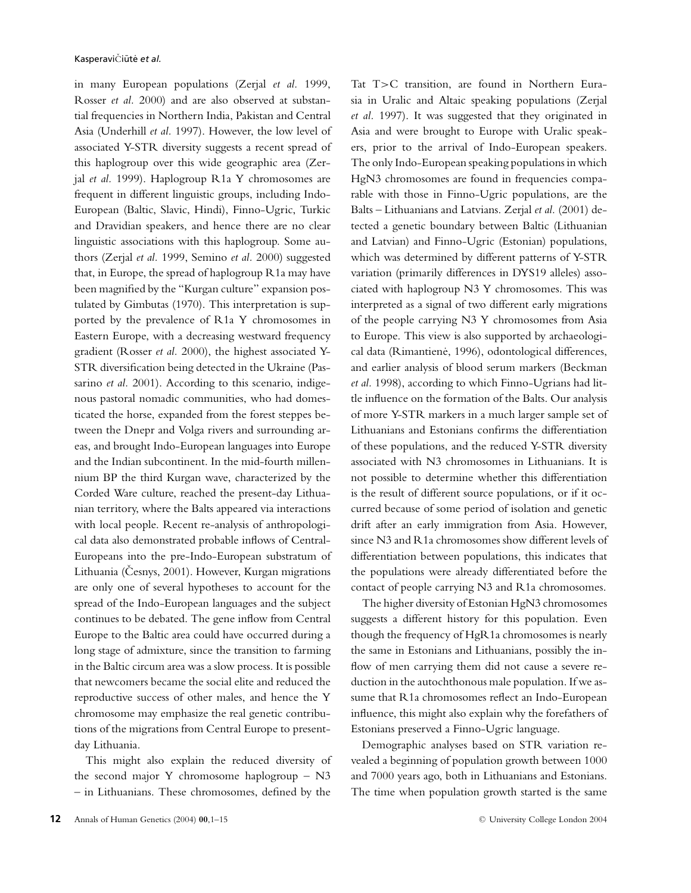in many European populations (Zerjal *et al.* 1999, Rosser *et al.* 2000) and are also observed at substantial frequencies in Northern India, Pakistan and Central Asia (Underhill *et al.* 1997). However, the low level of associated Y-STR diversity suggests a recent spread of this haplogroup over this wide geographic area (Zerjal *et al.* 1999). Haplogroup R1a Y chromosomes are frequent in different linguistic groups, including Indo-European (Baltic, Slavic, Hindi), Finno-Ugric, Turkic and Dravidian speakers, and hence there are no clear linguistic associations with this haplogroup. Some authors (Zerjal *et al.* 1999, Semino *et al.* 2000) suggested that, in Europe, the spread of haplogroup R1a may have been magnified by the "Kurgan culture" expansion postulated by Gimbutas (1970). This interpretation is supported by the prevalence of R1a Y chromosomes in Eastern Europe, with a decreasing westward frequency gradient (Rosser *et al.* 2000), the highest associated Y-STR diversification being detected in the Ukraine (Passarino *et al.* 2001). According to this scenario, indigenous pastoral nomadic communities, who had domesticated the horse, expanded from the forest steppes between the Dnepr and Volga rivers and surrounding areas, and brought Indo-European languages into Europe and the Indian subcontinent. In the mid-fourth millennium BP the third Kurgan wave, characterized by the Corded Ware culture, reached the present-day Lithuanian territory, where the Balts appeared via interactions with local people. Recent re-analysis of anthropological data also demonstrated probable inflows of Central-Europeans into the pre-Indo-European substratum of Lithuania (Česnys, 2001). However, Kurgan migrations are only one of several hypotheses to account for the spread of the Indo-European languages and the subject continues to be debated. The gene inflow from Central Europe to the Baltic area could have occurred during a long stage of admixture, since the transition to farming in the Baltic circum area was a slow process. It is possible that newcomers became the social elite and reduced the reproductive success of other males, and hence the Y chromosome may emphasize the real genetic contributions of the migrations from Central Europe to presentday Lithuania.

This might also explain the reduced diversity of the second major Y chromosome haplogroup – N3 – in Lithuanians. These chromosomes, defined by the

Tat T>C transition, are found in Northern Eurasia in Uralic and Altaic speaking populations (Zerjal *et al.* 1997). It was suggested that they originated in Asia and were brought to Europe with Uralic speakers, prior to the arrival of Indo-European speakers. The only Indo-European speaking populations in which HgN3 chromosomes are found in frequencies comparable with those in Finno-Ugric populations, are the Balts – Lithuanians and Latvians. Zerjal *et al.* (2001) detected a genetic boundary between Baltic (Lithuanian and Latvian) and Finno-Ugric (Estonian) populations, which was determined by different patterns of Y-STR variation (primarily differences in DYS19 alleles) associated with haplogroup N3 Y chromosomes. This was interpreted as a signal of two different early migrations of the people carrying N3 Y chromosomes from Asia to Europe. This view is also supported by archaeological data (Rimantienė, 1996), odontological differences, and earlier analysis of blood serum markers (Beckman *et al.* 1998), according to which Finno-Ugrians had little influence on the formation of the Balts. Our analysis of more Y-STR markers in a much larger sample set of Lithuanians and Estonians confirms the differentiation of these populations, and the reduced Y-STR diversity associated with N3 chromosomes in Lithuanians. It is not possible to determine whether this differentiation is the result of different source populations, or if it occurred because of some period of isolation and genetic drift after an early immigration from Asia. However, since N3 and R1a chromosomes show different levels of differentiation between populations, this indicates that the populations were already differentiated before the contact of people carrying N3 and R1a chromosomes.

The higher diversity of Estonian HgN3 chromosomes suggests a different history for this population. Even though the frequency of HgR1a chromosomes is nearly the same in Estonians and Lithuanians, possibly the inflow of men carrying them did not cause a severe reduction in the autochthonous male population. If we assume that R1a chromosomes reflect an Indo-European influence, this might also explain why the forefathers of Estonians preserved a Finno-Ugric language.

Demographic analyses based on STR variation revealed a beginning of population growth between 1000 and 7000 years ago, both in Lithuanians and Estonians. The time when population growth started is the same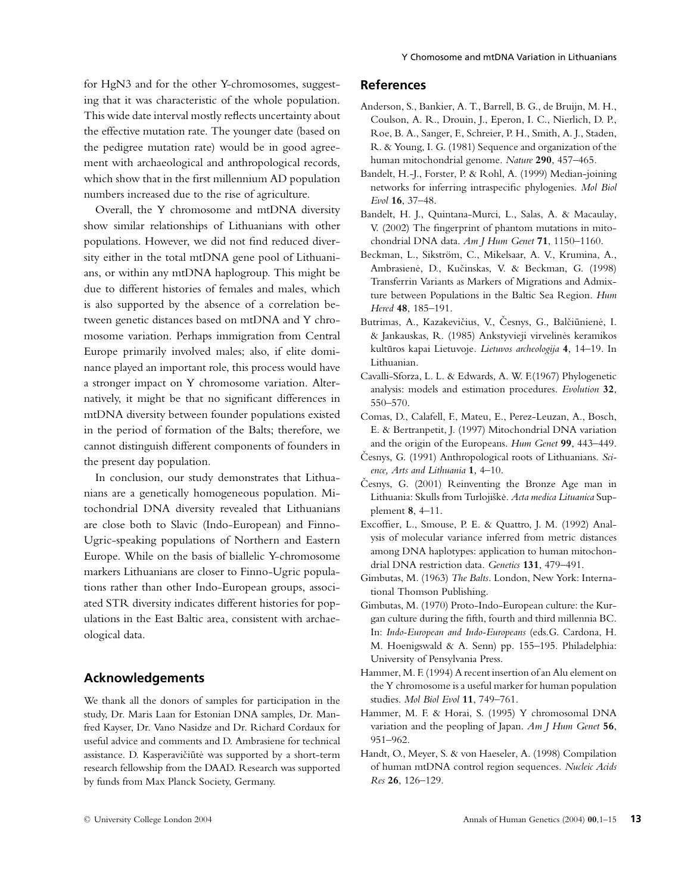for HgN3 and for the other Y-chromosomes, suggesting that it was characteristic of the whole population. This wide date interval mostly reflects uncertainty about the effective mutation rate. The younger date (based on the pedigree mutation rate) would be in good agreement with archaeological and anthropological records, which show that in the first millennium AD population numbers increased due to the rise of agriculture.

Overall, the Y chromosome and mtDNA diversity show similar relationships of Lithuanians with other populations. However, we did not find reduced diversity either in the total mtDNA gene pool of Lithuanians, or within any mtDNA haplogroup. This might be due to different histories of females and males, which is also supported by the absence of a correlation between genetic distances based on mtDNA and Y chromosome variation. Perhaps immigration from Central Europe primarily involved males; also, if elite dominance played an important role, this process would have a stronger impact on Y chromosome variation. Alternatively, it might be that no significant differences in mtDNA diversity between founder populations existed in the period of formation of the Balts; therefore, we cannot distinguish different components of founders in the present day population.

In conclusion, our study demonstrates that Lithuanians are a genetically homogeneous population. Mitochondrial DNA diversity revealed that Lithuanians are close both to Slavic (Indo-European) and Finno-Ugric-speaking populations of Northern and Eastern Europe. While on the basis of biallelic Y-chromosome markers Lithuanians are closer to Finno-Ugric populations rather than other Indo-European groups, associated STR diversity indicates different histories for populations in the East Baltic area, consistent with archaeological data.

## **Acknowledgements**

We thank all the donors of samples for participation in the study, Dr. Maris Laan for Estonian DNA samples, Dr. Manfred Kayser, Dr. Vano Nasidze and Dr. Richard Cordaux for useful advice and comments and D. Ambrasiene for technical assistance. D. Kasperavičiūtė was supported by a short-term research fellowship from the DAAD. Research was supported by funds from Max Planck Society, Germany.

#### **References**

- Anderson, S., Bankier, A. T., Barrell, B. G., de Bruijn, M. H., Coulson, A. R., Drouin, J., Eperon, I. C., Nierlich, D. P., Roe, B. A., Sanger, F., Schreier, P. H., Smith, A. J., Staden, R. & Young, I. G. (1981) Sequence and organization of the human mitochondrial genome. *Nature* **290**, 457–465.
- Bandelt, H.-J., Forster, P. & Rohl, A. (1999) Median-joining networks for inferring intraspecific phylogenies. *Mol Biol Evol* **16**, 37–48.
- Bandelt, H. J., Quintana-Murci, L., Salas, A. & Macaulay, V. (2002) The fingerprint of phantom mutations in mitochondrial DNA data. *Am J Hum Genet* **71**, 1150–1160.
- Beckman, L., Sikström, C., Mikelsaar, A. V., Krumina, A., Ambrasienė, D., Kučinskas, V. & Beckman, G. (1998) Transferrin Variants as Markers of Migrations and Admixture between Populations in the Baltic Sea Region. *Hum Hered* **48**, 185–191.
- Butrimas, A., Kazakevičius, V., Česnys, G., Balčiūnienė, I. & Jankauskas, R. (1985) Ankstyvieji virvelines keramikos ˙ kultūros kapai Lietuvoje. Lietuvos archeologija 4, 14-19. In Lithuanian.
- Cavalli-Sforza, L. L. & Edwards, A. W. F.(1967) Phylogenetic analysis: models and estimation procedures. *Evolution* **32**, 550–570.
- Comas, D., Calafell, F., Mateu, E., Perez-Leuzan, A., Bosch, E. & Bertranpetit, J. (1997) Mitochondrial DNA variation and the origin of the Europeans. *Hum Genet* **99**, 443–449.
- Česnys, G. (1991) Anthropological roots of Lithuanians. Sci*ence, Arts and Lithuania* **1**, 4–10.
- Česnys, G.  $(2001)$  Reinventing the Bronze Age man in Lithuania: Skulls from Turlojiškė. Acta medica Lituanica Supplement **8**, 4–11.
- Excoffier, L., Smouse, P. E. & Quattro, J. M. (1992) Analysis of molecular variance inferred from metric distances among DNA haplotypes: application to human mitochondrial DNA restriction data. *Genetics* **131**, 479–491.
- Gimbutas, M. (1963) *The Balts*. London, New York: International Thomson Publishing.
- Gimbutas, M. (1970) Proto-Indo-European culture: the Kurgan culture during the fifth, fourth and third millennia BC. In: *Indo-European and Indo-Europeans* (eds.G. Cardona, H. M. Hoenigswald & A. Senn) pp. 155–195. Philadelphia: University of Pensylvania Press.
- Hammer, M. F. (1994) A recent insertion of an Alu element on the Y chromosome is a useful marker for human population studies. *Mol Biol Evol* **11**, 749–761.
- Hammer, M. F. & Horai, S. (1995) Y chromosomal DNA variation and the peopling of Japan. *Am J Hum Genet* **56**, 951–962.
- Handt, O., Meyer, S. & von Haeseler, A. (1998) Compilation of human mtDNA control region sequences. *Nucleic Acids Res* **26**, 126–129.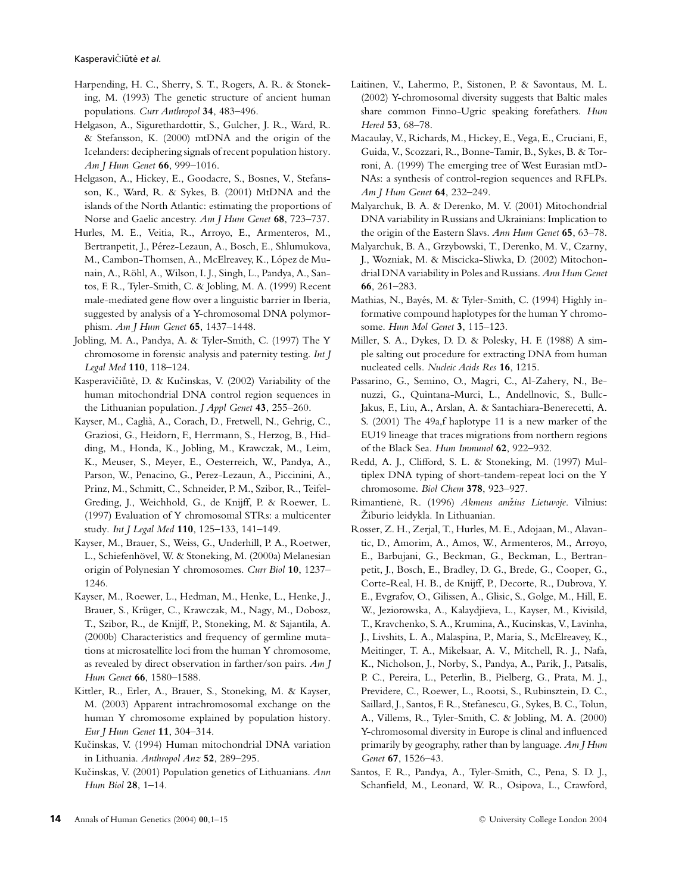- Harpending, H. C., Sherry, S. T., Rogers, A. R. & Stoneking, M. (1993) The genetic structure of ancient human populations. *Curr Anthropol* **34**, 483–496.
- Helgason, A., Sigurethardottir, S., Gulcher, J. R., Ward, R. & Stefansson, K. (2000) mtDNA and the origin of the Icelanders: deciphering signals of recent population history. *Am J Hum Genet* **66**, 999–1016.
- Helgason, A., Hickey, E., Goodacre, S., Bosnes, V., Stefansson, K., Ward, R. & Sykes, B. (2001) MtDNA and the islands of the North Atlantic: estimating the proportions of Norse and Gaelic ancestry. *Am J Hum Genet* **68**, 723–737.
- Hurles, M. E., Veitia, R., Arroyo, E., Armenteros, M., Bertranpetit, J., Pérez-Lezaun, A., Bosch, E., Shlumukova, M., Cambon-Thomsen, A., McElreavey, K., López de Munain, A., Röhl, A., Wilson, I. J., Singh, L., Pandya, A., Santos, F. R., Tyler-Smith, C. & Jobling, M. A. (1999) Recent male-mediated gene flow over a linguistic barrier in Iberia, suggested by analysis of a Y-chromosomal DNA polymorphism. *Am J Hum Genet* **65**, 1437–1448.
- Jobling, M. A., Pandya, A. & Tyler-Smith, C. (1997) The Y chromosome in forensic analysis and paternity testing. *Int J Legal Med* **110**, 118–124.
- Kasperavičiūtė, D. & Kučinskas, V. (2002) Variability of the human mitochondrial DNA control region sequences in the Lithuanian population. *J Appl Genet* **43**, 255–260.
- Kayser, M., Caglia, A., Corach, D., Fretwell, N., Gehrig, C., ` Graziosi, G., Heidorn, F., Herrmann, S., Herzog, B., Hidding, M., Honda, K., Jobling, M., Krawczak, M., Leim, K., Meuser, S., Meyer, E., Oesterreich, W., Pandya, A., Parson, W., Penacino, G., Perez-Lezaun, A., Piccinini, A., Prinz, M., Schmitt, C., Schneider, P. M., Szibor, R., Teifel-Greding, J., Weichhold, G., de Knijff, P. & Roewer, L. (1997) Evaluation of Y chromosomal STRs: a multicenter study. *Int J Legal Med* **110**, 125–133, 141–149.
- Kayser, M., Brauer, S., Weiss, G., Underhill, P. A., Roetwer, L., Schiefenhövel, W. & Stoneking, M. (2000a) Melanesian origin of Polynesian Y chromosomes. *Curr Biol* **10**, 1237– 1246.
- Kayser, M., Roewer, L., Hedman, M., Henke, L., Henke, J., Brauer, S., Krüger, C., Krawczak, M., Nagy, M., Dobosz, T., Szibor, R., de Knijff, P., Stoneking, M. & Sajantila, A. (2000b) Characteristics and frequency of germline mutations at microsatellite loci from the human Y chromosome, as revealed by direct observation in farther/son pairs. *Am J Hum Genet* **66**, 1580–1588.
- Kittler, R., Erler, A., Brauer, S., Stoneking, M. & Kayser, M. (2003) Apparent intrachromosomal exchange on the human Y chromosome explained by population history. *Eur J Hum Genet* **11**, 304–314.
- Kučinskas, V. (1994) Human mitochondrial DNA variation in Lithuania. *Anthropol Anz* **52**, 289–295.
- Kučinskas, V. (2001) Population genetics of Lithuanians. Ann *Hum Biol* **28**, 1–14.
- Laitinen, V., Lahermo, P., Sistonen, P. & Savontaus, M. L. (2002) Y-chromosomal diversity suggests that Baltic males share common Finno-Ugric speaking forefathers. *Hum Hered* **53**, 68–78.
- Macaulay, V., Richards, M., Hickey, E., Vega, E., Cruciani, F., Guida, V., Scozzari, R., Bonne-Tamir, B., Sykes, B. & Torroni, A. (1999) The emerging tree of West Eurasian mtD-NAs: a synthesis of control-region sequences and RFLPs. *Am J Hum Genet* **64**, 232–249.
- Malyarchuk, B. A. & Derenko, M. V. (2001) Mitochondrial DNA variability in Russians and Ukrainians: Implication to the origin of the Eastern Slavs. *Ann Hum Genet* **65**, 63–78.
- Malyarchuk, B. A., Grzybowski, T., Derenko, M. V., Czarny, J., Wozniak, M. & Miscicka-Sliwka, D. (2002) Mitochondrial DNA variability in Poles and Russians.*Ann Hum Genet* **66**, 261–283.
- Mathias, N., Bayés, M. & Tyler-Smith, C. (1994) Highly informative compound haplotypes for the human Y chromosome. *Hum Mol Genet* **3**, 115–123.
- Miller, S. A., Dykes, D. D. & Polesky, H. F. (1988) A simple salting out procedure for extracting DNA from human nucleated cells. *Nucleic Acids Res* **16**, 1215.
- Passarino, G., Semino, O., Magri, C., Al-Zahery, N., Benuzzi, G., Quintana-Murci, L., Andellnovic, S., Bullc-Jakus, F., Liu, A., Arslan, A. & Santachiara-Benerecetti, A. S. (2001) The 49a,f haplotype 11 is a new marker of the EU19 lineage that traces migrations from northern regions of the Black Sea. *Hum Immunol* **62**, 922–932.
- Redd, A. J., Clifford, S. L. & Stoneking, M. (1997) Multiplex DNA typing of short-tandem-repeat loci on the Y chromosome. *Biol Chem* **378**, 923–927.
- Rimantienė, R. (1996) Akmens amžius Lietuvoje. Vilnius: Żiburio leidykla. In Lithuanian.
- Rosser, Z. H., Zerjal, T., Hurles, M. E., Adojaan, M., Alavantic, D., Amorim, A., Amos, W., Armenteros, M., Arroyo, E., Barbujani, G., Beckman, G., Beckman, L., Bertranpetit, J., Bosch, E., Bradley, D. G., Brede, G., Cooper, G., Corte-Real, H. B., de Knijff, P., Decorte, R., Dubrova, Y. E., Evgrafov, O., Gilissen, A., Glisic, S., Golge, M., Hill, E. W., Jeziorowska, A., Kalaydjieva, L., Kayser, M., Kivisild, T., Kravchenko, S. A., Krumina, A., Kucinskas, V., Lavinha, J., Livshits, L. A., Malaspina, P., Maria, S., McElreavey, K., Meitinger, T. A., Mikelsaar, A. V., Mitchell, R. J., Nafa, K., Nicholson, J., Norby, S., Pandya, A., Parik, J., Patsalis, P. C., Pereira, L., Peterlin, B., Pielberg, G., Prata, M. J., Previdere, C., Roewer, L., Rootsi, S., Rubinsztein, D. C., Saillard, J., Santos, F. R., Stefanescu, G., Sykes, B. C., Tolun, A., Villems, R., Tyler-Smith, C. & Jobling, M. A. (2000) Y-chromosomal diversity in Europe is clinal and influenced primarily by geography, rather than by language. *Am J Hum Genet* **67**, 1526–43.
- Santos, F. R., Pandya, A., Tyler-Smith, C., Pena, S. D. J., Schanfield, M., Leonard, W. R., Osipova, L., Crawford,